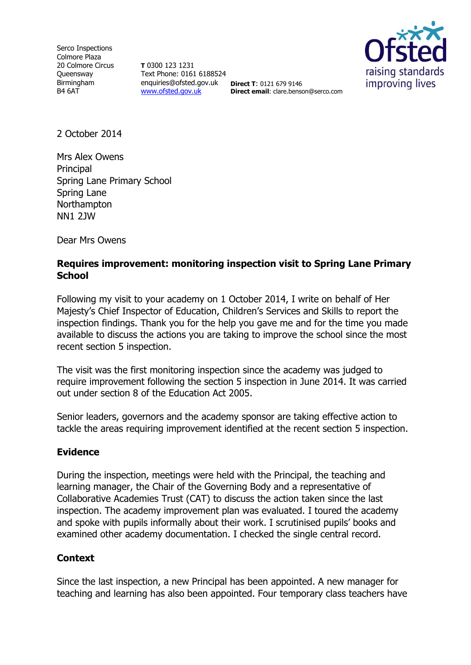Serco Inspections Colmore Plaza 20 Colmore Circus **Queensway** Birmingham B4 6AT

**T** 0300 123 1231 Text Phone: 0161 6188524 enquiries@ofsted.gov.uk **Direct T**: 0121 679 9146 [www.ofsted.gov.uk](http://www.ofsted.gov.uk/)



**Direct email**: clare.benson@serco.com

2 October 2014

Mrs Alex Owens **Principal** Spring Lane Primary School Spring Lane **Northampton** NN1 2JW

Dear Mrs Owens

# **Requires improvement: monitoring inspection visit to Spring Lane Primary School**

Following my visit to your academy on 1 October 2014, I write on behalf of Her Majesty's Chief Inspector of Education, Children's Services and Skills to report the inspection findings. Thank you for the help you gave me and for the time you made available to discuss the actions you are taking to improve the school since the most recent section 5 inspection.

The visit was the first monitoring inspection since the academy was judged to require improvement following the section 5 inspection in June 2014. It was carried out under section 8 of the Education Act 2005.

Senior leaders, governors and the academy sponsor are taking effective action to tackle the areas requiring improvement identified at the recent section 5 inspection.

## **Evidence**

During the inspection, meetings were held with the Principal, the teaching and learning manager, the Chair of the Governing Body and a representative of Collaborative Academies Trust (CAT) to discuss the action taken since the last inspection. The academy improvement plan was evaluated. I toured the academy and spoke with pupils informally about their work. I scrutinised pupils' books and examined other academy documentation. I checked the single central record.

## **Context**

Since the last inspection, a new Principal has been appointed. A new manager for teaching and learning has also been appointed. Four temporary class teachers have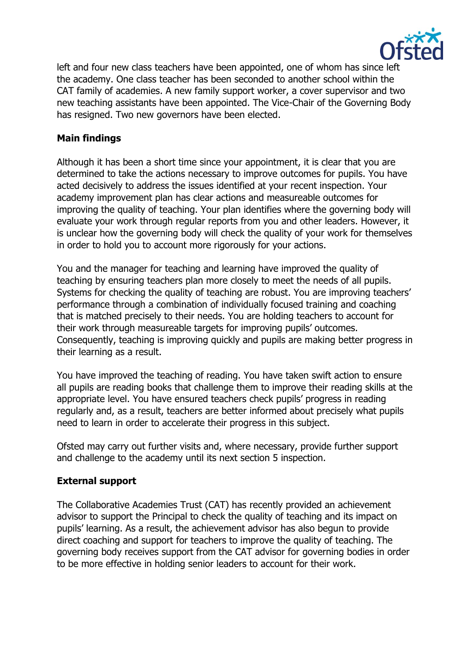

left and four new class teachers have been appointed, one of whom has since left the academy. One class teacher has been seconded to another school within the CAT family of academies. A new family support worker, a cover supervisor and two new teaching assistants have been appointed. The Vice-Chair of the Governing Body has resigned. Two new governors have been elected.

# **Main findings**

Although it has been a short time since your appointment, it is clear that you are determined to take the actions necessary to improve outcomes for pupils. You have acted decisively to address the issues identified at your recent inspection. Your academy improvement plan has clear actions and measureable outcomes for improving the quality of teaching. Your plan identifies where the governing body will evaluate your work through regular reports from you and other leaders. However, it is unclear how the governing body will check the quality of your work for themselves in order to hold you to account more rigorously for your actions.

You and the manager for teaching and learning have improved the quality of teaching by ensuring teachers plan more closely to meet the needs of all pupils. Systems for checking the quality of teaching are robust. You are improving teachers' performance through a combination of individually focused training and coaching that is matched precisely to their needs. You are holding teachers to account for their work through measureable targets for improving pupils' outcomes. Consequently, teaching is improving quickly and pupils are making better progress in their learning as a result.

You have improved the teaching of reading. You have taken swift action to ensure all pupils are reading books that challenge them to improve their reading skills at the appropriate level. You have ensured teachers check pupils' progress in reading regularly and, as a result, teachers are better informed about precisely what pupils need to learn in order to accelerate their progress in this subject.

Ofsted may carry out further visits and, where necessary, provide further support and challenge to the academy until its next section 5 inspection.

## **External support**

The Collaborative Academies Trust (CAT) has recently provided an achievement advisor to support the Principal to check the quality of teaching and its impact on pupils' learning. As a result, the achievement advisor has also begun to provide direct coaching and support for teachers to improve the quality of teaching. The governing body receives support from the CAT advisor for governing bodies in order to be more effective in holding senior leaders to account for their work.